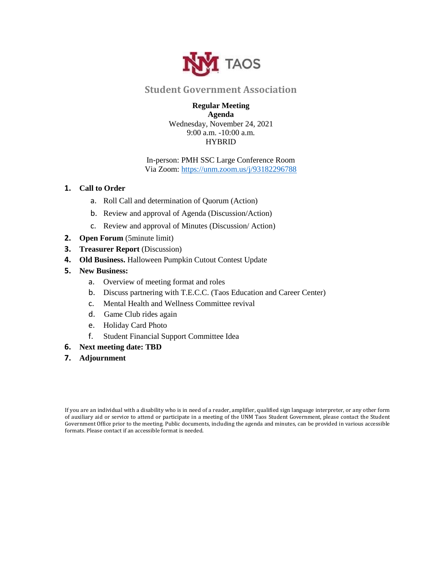

## **Student Government Association**

## **Regular Meeting Agenda**

Wednesday, November 24, 2021 9:00 a.m. -10:00 a.m. HYBRID

## In-person: PMH SSC Large Conference Room Via Zoom:<https://unm.zoom.us/j/93182296788>

## **1. Call to Order**

- a. Roll Call and determination of Quorum (Action)
- b. Review and approval of Agenda (Discussion/Action)
- c. Review and approval of Minutes (Discussion/ Action)
- **2. Open Forum** (5minute limit)
- **3. Treasurer Report** (Discussion)
- **4. Old Business.** Halloween Pumpkin Cutout Contest Update
- **5. New Business:** 
	- a. Overview of meeting format and roles
	- b. Discuss partnering with T.E.C.C. (Taos Education and Career Center)
	- c. Mental Health and Wellness Committee revival
	- d. Game Club rides again
	- e. Holiday Card Photo
	- f. Student Financial Support Committee Idea
- **6. Next meeting date: TBD**
- **7. Adjournment**

If you are an individual with a disability who is in need of a reader, amplifier, qualified sign language interpreter, or any other form of auxiliary aid or service to attend or participate in a meeting of the UNM Taos Student Government, please contact the Student Government Office prior to the meeting. Public documents, including the agenda and minutes, can be provided in various accessible formats. Please contact if an accessible format is needed.